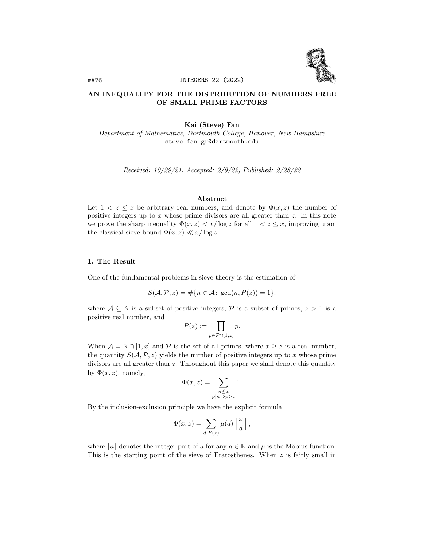

# AN INEQUALITY FOR THE DISTRIBUTION OF NUMBERS FREE OF SMALL PRIME FACTORS

### Kai (Steve) Fan

Department of Mathematics, Dartmouth College, Hanover, New Hampshire steve.fan.gr@dartmouth.edu

Received: 10/29/21, Accepted: 2/9/22, Published: 2/28/22

## Abstract

Let  $1 < z \leq x$  be arbitrary real numbers, and denote by  $\Phi(x, z)$  the number of positive integers up to x whose prime divisors are all greater than z. In this note we prove the sharp inequality  $\Phi(x, z) < x/\log z$  for all  $1 < z \leq x$ , improving upon the classical sieve bound  $\Phi(x, z) \ll x/\log z$ .

#### 1. The Result

One of the fundamental problems in sieve theory is the estimation of

$$
S(\mathcal{A}, \mathcal{P}, z) = \#\{n \in \mathcal{A} \colon \gcd(n, P(z)) = 1\},\
$$

where  $A \subseteq \mathbb{N}$  is a subset of positive integers,  $P$  is a subset of primes,  $z > 1$  is a positive real number, and

$$
P(z) := \prod_{p \in \mathcal{P} \cap [1, z]} p.
$$

When  $\mathcal{A} = \mathbb{N} \cap [1, x]$  and  $\mathcal P$  is the set of all primes, where  $x \geq z$  is a real number, the quantity  $S(\mathcal{A}, \mathcal{P}, z)$  yields the number of positive integers up to x whose prime divisors are all greater than z. Throughout this paper we shall denote this quantity by  $\Phi(x, z)$ , namely,

$$
\Phi(x, z) = \sum_{\substack{n \le x \\ p|n \Rightarrow p > z}} 1.
$$

By the inclusion-exclusion principle we have the explicit formula

$$
\Phi(x, z) = \sum_{d|P(z)} \mu(d) \left\lfloor \frac{x}{d} \right\rfloor,
$$

where  $|a|$  denotes the integer part of a for any  $a \in \mathbb{R}$  and  $\mu$  is the Möbius function. This is the starting point of the sieve of Eratosthenes. When  $z$  is fairly small in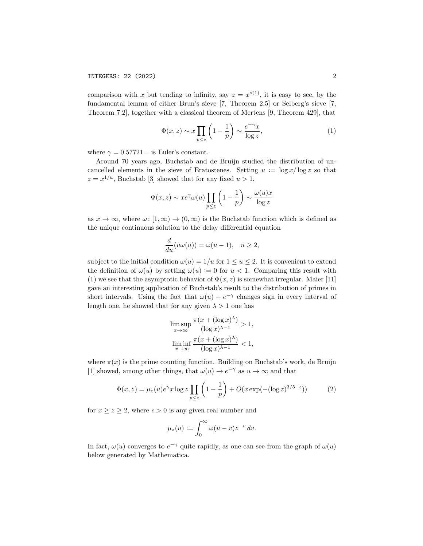comparison with x but tending to infinity, say  $z = x^{o(1)}$ , it is easy to see, by the fundamental lemma of either Brun's sieve [7, Theorem 2.5] or Selberg's sieve [7, Theorem 7.2], together with a classical theorem of Mertens [9, Theorem 429], that

$$
\Phi(x, z) \sim x \prod_{p \le z} \left( 1 - \frac{1}{p} \right) \sim \frac{e^{-\gamma} x}{\log z},\tag{1}
$$

where  $\gamma = 0.57721...$  is Euler's constant.

Around 70 years ago, Buchstab and de Bruijn studied the distribution of uncancelled elements in the sieve of Eratostenes. Setting  $u := \log x / \log z$  so that  $z = x^{1/u}$ , Buchstab [3] showed that for any fixed  $u > 1$ ,

$$
\Phi(x, z) \sim x e^{\gamma} \omega(u) \prod_{p \leq z} \left(1 - \frac{1}{p}\right) \sim \frac{\omega(u)x}{\log z}
$$

as  $x \to \infty$ , where  $\omega: [1, \infty) \to (0, \infty)$  is the Buchstab function which is defined as the unique continuous solution to the delay differential equation

$$
\frac{d}{du}(u\omega(u)) = \omega(u-1), \quad u \ge 2,
$$

subject to the initial condition  $\omega(u) = 1/u$  for  $1 \le u \le 2$ . It is convenient to extend the definition of  $\omega(u)$  by setting  $\omega(u) := 0$  for  $u < 1$ . Comparing this result with (1) we see that the asymptotic behavior of  $\Phi(x, z)$  is somewhat irregular. Maier [11] gave an interesting application of Buchstab's result to the distribution of primes in short intervals. Using the fact that  $\omega(u) - e^{-\gamma}$  changes sign in every interval of length one, he showed that for any given  $\lambda > 1$  one has

$$
\limsup_{x \to \infty} \frac{\pi (x + (\log x)^{\lambda})}{(\log x)^{\lambda - 1}} > 1,
$$
  

$$
\liminf_{x \to \infty} \frac{\pi (x + (\log x)^{\lambda})}{(\log x)^{\lambda - 1}} < 1,
$$

where  $\pi(x)$  is the prime counting function. Building on Buchstab's work, de Bruijn [1] showed, among other things, that  $\omega(u) \to e^{-\gamma}$  as  $u \to \infty$  and that

$$
\Phi(x,z) = \mu_z(u)e^{\gamma}x \log z \prod_{p \le z} \left(1 - \frac{1}{p}\right) + O(x \exp(-(\log z)^{3/5 - \epsilon})) \tag{2}
$$

for  $x \ge z \ge 2$ , where  $\epsilon > 0$  is any given real number and

$$
\mu_z(u) := \int_0^\infty \omega(u-v) z^{-v} \, dv.
$$

In fact,  $\omega(u)$  converges to  $e^{-\gamma}$  quite rapidly, as one can see from the graph of  $\omega(u)$ below generated by Mathematica.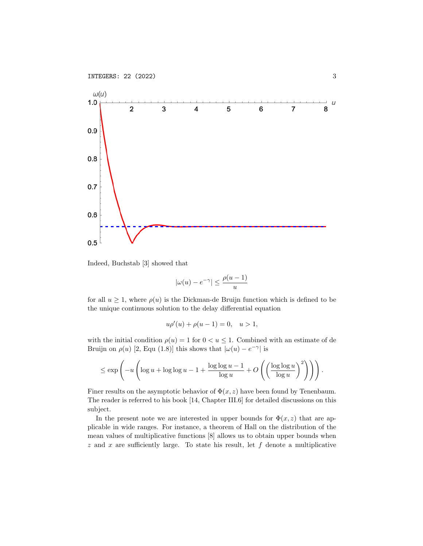

Indeed, Buchstab [3] showed that

$$
|\omega(u)-e^{-\gamma}|\leq \frac{\rho(u-1)}{u}
$$

for all  $u \geq 1$ , where  $\rho(u)$  is the Dickman-de Bruijn function which is defined to be the unique continuous solution to the delay differential equation

$$
u\rho'(u) + \rho(u-1) = 0, \quad u > 1,
$$

with the initial condition  $\rho(u) = 1$  for  $0 < u \leq 1$ . Combined with an estimate of de Bruijn on  $\rho(u)$  [2, Equ (1.8)] this shows that  $|\omega(u) - e^{-\gamma}|$  is

$$
\leq \exp\left(-u\left(\log u + \log\log u - 1 + \frac{\log\log u - 1}{\log u} + O\left(\left(\frac{\log\log u}{\log u}\right)^2\right)\right)\right).
$$

Finer results on the asymptotic behavior of  $\Phi(x, z)$  have been found by Tenenbaum. The reader is referred to his book [14, Chapter III.6] for detailed discussions on this subject.

In the present note we are interested in upper bounds for  $\Phi(x, z)$  that are applicable in wide ranges. For instance, a theorem of Hall on the distribution of the mean values of multiplicative functions [8] allows us to obtain upper bounds when  $z$  and  $x$  are sufficiently large. To state his result, let  $f$  denote a multiplicative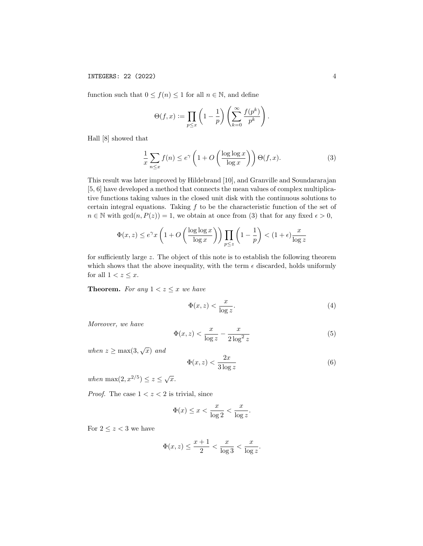function such that  $0 \le f(n) \le 1$  for all  $n \in \mathbb{N}$ , and define

$$
\Theta(f, x) := \prod_{p \leq x} \left(1 - \frac{1}{p}\right) \left(\sum_{k=0}^{\infty} \frac{f(p^k)}{p^k}\right).
$$

Hall [8] showed that

$$
\frac{1}{x} \sum_{n \le x} f(n) \le e^{\gamma} \left( 1 + O\left(\frac{\log \log x}{\log x}\right) \right) \Theta(f, x). \tag{3}
$$

This result was later improved by Hildebrand [10], and Granville and Soundararajan [5, 6] have developed a method that connects the mean values of complex multiplicative functions taking values in the closed unit disk with the continuous solutions to certain integral equations. Taking  $f$  to be the characteristic function of the set of  $n \in \mathbb{N}$  with  $gcd(n, P(z)) = 1$ , we obtain at once from (3) that for any fixed  $\epsilon > 0$ ,

$$
\Phi(x, z) \le e^{\gamma} x \left( 1 + O\left(\frac{\log \log x}{\log x}\right) \right) \prod_{p \le z} \left( 1 - \frac{1}{p} \right) < (1 + \epsilon) \frac{x}{\log z}
$$

for sufficiently large z. The object of this note is to establish the following theorem which shows that the above inequality, with the term  $\epsilon$  discarded, holds uniformly for all  $1 < z \leq x$ .

**Theorem.** For any  $1 < z \leq x$  we have

$$
\Phi(x,z) < \frac{x}{\log z}.\tag{4}
$$

Moreover, we have

$$
\Phi(x,z) < \frac{x}{\log z} - \frac{x}{2\log^2 z} \tag{5}
$$

when  $z \geq \max(3, \sqrt{x})$  and

$$
\Phi(x,z) < \frac{2x}{3\log z} \tag{6}
$$

when  $\max(2, x^{2/5}) \leq z \leq \sqrt{x}$ .

*Proof.* The case  $1 < z < 2$  is trivial, since

$$
\Phi(x) \le x < \frac{x}{\log 2} < \frac{x}{\log z}.
$$

For  $2 \leq z < 3$  we have

$$
\Phi(x, z) \le \frac{x+1}{2} < \frac{x}{\log 3} < \frac{x}{\log z}.
$$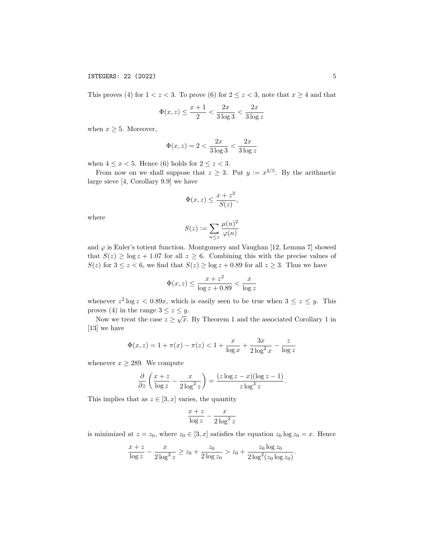INTEGERS: 22 (2022) 5

This proves (4) for  $1 < z < 3$ . To prove (6) for  $2 \le z < 3$ , note that  $x \ge 4$  and that

$$
\Phi(x, z) \le \frac{x+1}{2} < \frac{2x}{3\log 3} < \frac{2x}{3\log z}
$$

when  $x \geq 5$ . Moreover,

$$
\Phi(x, z) = 2 < \frac{2x}{3 \log 3} < \frac{2x}{3 \log z}
$$

when  $4 \leq x < 5$ . Hence (6) holds for  $2 \leq z < 3$ .

From now on we shall suppose that  $z \geq 3$ . Put  $y := x^{2/5}$ . By the arithmetic large sieve [4, Corollary 9.9] we have

$$
\Phi(x, z) \le \frac{x + z^2}{S(z)},
$$

where

$$
S(z) := \sum_{n \le z} \frac{\mu(n)^2}{\varphi(n)}
$$

and  $\varphi$  is Euler's totient function. Montgomery and Vaughan [12, Lemma 7] showed that  $S(z) \ge \log z + 1.07$  for all  $z \ge 6$ . Combining this with the precise values of  $S(z)$  for  $3 \le z < 6$ , we find that  $S(z) \ge \log z + 0.89$  for all  $z \ge 3$ . Thus we have

$$
\Phi(x, z) \le \frac{x + z^2}{\log z + 0.89} < \frac{x}{\log z}
$$

whenever  $z^2 \log z < 0.89x$ , which is easily seen to be true when  $3 \leq z \leq y$ . This proves (4) in the range  $3 \le z \le y$ .

Now we treat the case  $z \geq \sqrt{x}$ . By Theorem 1 and the associated Corollary 1 in [13] we have

$$
\Phi(x, z) = 1 + \pi(x) - \pi(z) < 1 + \frac{x}{\log x} + \frac{3x}{2\log^2 x} - \frac{z}{\log z}
$$

whenever  $x \geq 289$ . We compute

$$
\frac{\partial}{\partial z} \left( \frac{x+z}{\log z} - \frac{x}{2 \log^2 z} \right) = \frac{(z \log z - x)(\log z - 1)}{z \log^3 z}.
$$

This implies that as  $z \in [3, x]$  varies, the quantity

$$
\frac{x+z}{\log z} - \frac{x}{2\log^2 z}
$$

is minimized at  $z = z_0$ , where  $z_0 \in [3, x]$  satisfies the equation  $z_0 \log z_0 = x$ . Hence

$$
\frac{x+z}{\log z} - \frac{x}{2\log^2 z} \ge z_0 + \frac{z_0}{2\log z_0} > z_0 + \frac{z_0 \log z_0}{2\log^2(z_0 \log z_0)}.
$$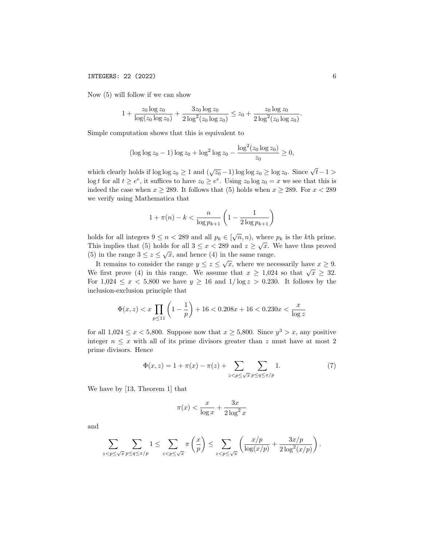#### INTEGERS: 22 (2022) 6

Now (5) will follow if we can show

$$
1 + \frac{z_0 \log z_0}{\log(z_0 \log z_0)} + \frac{3z_0 \log z_0}{2 \log^2(z_0 \log z_0)} \le z_0 + \frac{z_0 \log z_0}{2 \log^2(z_0 \log z_0)}.
$$

Simple computation shows that this is equivalent to

$$
(\log \log z_0 - 1) \log z_0 + \log^2 \log z_0 - \frac{\log^2(z_0 \log z_0)}{z_0} \ge 0,
$$

which clearly holds if  $\log \log z_0 \geq 1$  and  $(\sqrt{z_0} - 1) \log \log z_0 \geq \log z_0$ . Since  $\sqrt{t-1} >$  $\log t$  for all  $t \geq e^e$ , it suffices to have  $z_0 \geq e^e$ . Using  $z_0 \log z_0 = x$  we see that this is indeed the case when  $x \ge 289$ . It follows that (5) holds when  $x \ge 289$ . For  $x < 289$ we verify using Mathematica that

$$
1 + \pi(n) - k < \frac{n}{\log p_{k+1}} \left( 1 - \frac{1}{2 \log p_{k+1}} \right)
$$

holds for all integers  $9 \le n < 289$  and all  $p_k \in [\sqrt{n}, n)$ , where  $p_k$  is the kth prime. This implies that (5) holds for all  $3 \le x < 289$  and  $z \ge \sqrt{x}$ . We have thus proved (5) in the range  $3 \le z \le \sqrt{x}$ , and hence (4) in the same range.

It remains to consider the range  $y \leq z \leq \sqrt{x}$ , where we necessarily have  $x \geq 9$ . We first prove (4) in this range. We assume that  $x \ge 1,024$  so that  $\sqrt{x} \ge 32$ . For  $1,024 \leq x < 5,800$  we have  $y \geq 16$  and  $1/\log z > 0.230$ . It follows by the inclusion-exclusion principle that

$$
\Phi(x, z) < x \prod_{p \le 11} \left( 1 - \frac{1}{p} \right) + 16 < 0.208x + 16 < 0.230x < \frac{x}{\log z}
$$

for all  $1,024 \le x < 5,800$ . Suppose now that  $x \ge 5,800$ . Since  $y^3 > x$ , any positive integer  $n \leq x$  with all of its prime divisors greater than z must have at most 2 prime divisors. Hence

$$
\Phi(x, z) = 1 + \pi(x) - \pi(z) + \sum_{z < p \le \sqrt{x}} \sum_{p \le q \le x/p} 1. \tag{7}
$$

We have by [13, Theorem 1] that

$$
\pi(x) < \frac{x}{\log x} + \frac{3x}{2\log^2 x}
$$

and

$$
\sum_{z < p \le \sqrt{x}} \sum_{p \le q \le x/p} 1 \le \sum_{z < p \le \sqrt{x}} \pi\left(\frac{x}{p}\right) \le \sum_{z < p \le \sqrt{x}} \left(\frac{x/p}{\log(x/p)} + \frac{3x/p}{2\log^2(x/p)}\right).
$$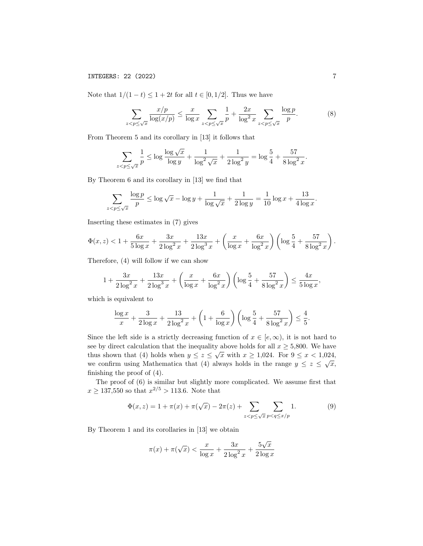INTEGERS: 22 (2022) 7

Note that  $1/(1-t) \leq 1+2t$  for all  $t \in [0,1/2]$ . Thus we have

$$
\sum_{z < p \le \sqrt{x}} \frac{x/p}{\log(x/p)} \le \frac{x}{\log x} \sum_{z < p \le \sqrt{x}} \frac{1}{p} + \frac{2x}{\log^2 x} \sum_{z < p \le \sqrt{x}} \frac{\log p}{p}.\tag{8}
$$

From Theorem 5 and its corollary in [13] it follows that

$$
\sum_{z < p \le \sqrt{x}} \frac{1}{p} \le \log \frac{\log \sqrt{x}}{\log y} + \frac{1}{\log^2 \sqrt{x}} + \frac{1}{2 \log^2 y} = \log \frac{5}{4} + \frac{57}{8 \log^2 x}.
$$

By Theorem 6 and its corollary in [13] we find that

$$
\sum_{z < p \le \sqrt{x}} \frac{\log p}{p} \le \log \sqrt{x} - \log y + \frac{1}{\log \sqrt{x}} + \frac{1}{2 \log y} = \frac{1}{10} \log x + \frac{13}{4 \log x}.
$$

Inserting these estimates in (7) gives

$$
\Phi(x,z) < 1 + \frac{6x}{5\log x} + \frac{3x}{2\log^2 x} + \frac{13x}{2\log^3 x} + \left(\frac{x}{\log x} + \frac{6x}{\log^2 x}\right) \left(\log \frac{5}{4} + \frac{57}{8\log^2 x}\right).
$$

Therefore, (4) will follow if we can show

$$
1 + \frac{3x}{2\log^2 x} + \frac{13x}{2\log^3 x} + \left(\frac{x}{\log x} + \frac{6x}{\log^2 x}\right) \left(\log \frac{5}{4} + \frac{57}{8\log^2 x}\right) \le \frac{4x}{5\log x},
$$

which is equivalent to

$$
\frac{\log x}{x} + \frac{3}{2\log x} + \frac{13}{2\log^2 x} + \left(1 + \frac{6}{\log x}\right) \left(\log \frac{5}{4} + \frac{57}{8\log^2 x}\right) \le \frac{4}{5}.
$$

Since the left side is a strictly decreasing function of  $x \in [e,\infty)$ , it is not hard to see by direct calculation that the inequality above holds for all  $x \ge 5,800$ . We have thus shown that (4) holds when  $y \leq z \leq \sqrt{x}$  with  $x \geq 1,024$ . For  $9 \leq x < 1,024$ , we confirm using Mathematica that (4) always holds in the range  $y \leq z \leq \sqrt{x}$ , finishing the proof of (4).

The proof of (6) is similar but slightly more complicated. We assume first that  $x \ge 137,550$  so that  $x^{2/5} > 113.6$ . Note that

$$
\Phi(x, z) = 1 + \pi(x) + \pi(\sqrt{x}) - 2\pi(z) + \sum_{z < p \le \sqrt{x}} \sum_{p < q \le x/p} 1. \tag{9}
$$

By Theorem 1 and its corollaries in [13] we obtain

$$
\pi(x) + \pi(\sqrt{x}) < \frac{x}{\log x} + \frac{3x}{2\log^2 x} + \frac{5\sqrt{x}}{2\log x}
$$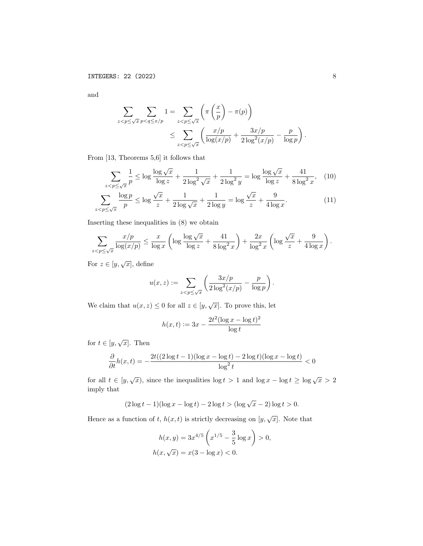and

$$
\sum_{z < p \le \sqrt{x}} \sum_{p < q \le x/p} 1 = \sum_{z < p \le \sqrt{x}} \left( \pi \left( \frac{x}{p} \right) - \pi(p) \right)
$$
\n
$$
\le \sum_{z < p \le \sqrt{x}} \left( \frac{x/p}{\log(x/p)} + \frac{3x/p}{2\log^2(x/p)} - \frac{p}{\log p} \right)
$$

From [13, Theorems 5,6] it follows that

$$
\sum_{z < p \le \sqrt{x}} \frac{1}{p} \le \log \frac{\log \sqrt{x}}{\log z} + \frac{1}{2 \log^2 \sqrt{x}} + \frac{1}{2 \log^2 y} = \log \frac{\log \sqrt{x}}{\log z} + \frac{41}{8 \log^2 x}, \quad (10)
$$

$$
\sum_{z < p \le \sqrt{x}} \frac{\log p}{p} \le \log \frac{\sqrt{x}}{z} + \frac{1}{2 \log \sqrt{x}} + \frac{1}{2 \log y} = \log \frac{\sqrt{x}}{z} + \frac{9}{4 \log x}.
$$

$$
\sum_{i=1}^{n} \frac{1}{i} \sum_{i=1}^{n} \frac{1}{i} \sum_{i=1}^{n} \frac{1}{i} \sum_{i=1}^{n} \frac{1}{i} \sum_{i=1}^{n} \frac{1}{i} \sum_{i=1}^{n} \frac{1}{i} \sum_{i=1}^{n} \frac{1}{i} \sum_{i=1}^{n} \frac{1}{i} \sum_{i=1}^{n} \frac{1}{i} \sum_{i=1}^{n} \frac{1}{i} \sum_{i=1}^{n} \frac{1}{i} \sum_{i=1}^{n} \frac{1}{i} \sum_{i=1}^{n} \frac{1}{i} \sum_{i=1}^{n} \frac{1}{i} \sum_{i=1}^{n} \frac{1}{i} \sum_{i=1}^{n} \frac{1}{i} \sum_{i=1}^{n} \frac{1}{i} \sum_{i=1}^{n} \frac{1}{i} \sum_{i=1}^{n} \frac{1}{i} \sum_{i=1}^{n} \frac{1}{i} \sum_{i=1}^{n} \frac{1}{i} \sum_{i=1}^{n} \frac{1}{i} \sum_{i=1}^{n} \frac{1}{i} \sum_{i=1}^{n} \frac{1}{i} \sum_{i=1}^{n} \frac{1}{i} \sum_{i=1}^{n} \frac{1}{i} \sum_{i=1}^{n} \frac{1}{i} \sum_{i=1}^{n} \frac{1}{i} \sum_{i=1}^{n} \frac{1}{i} \sum_{i=1}^{n} \frac{1}{i} \sum_{i=1}^{n} \frac{1}{i} \sum_{i=1}^{n} \frac{1}{i} \sum_{i=1}^{n} \frac{1}{i} \sum_{i=1}^{n} \frac{1}{i} \sum_{i=1}^{n} \frac{1}{i} \sum_{i=1}^{n} \frac{1}{i} \sum_{i=1}^{n} \frac{1}{i} \sum_{i=1}^{n} \frac{1}{i} \sum_{i=1}^{n} \frac{1}{i} \sum_{i=1}^{n} \frac{1}{i} \sum_{i=1}^{n} \frac{1}{i} \sum_{i=1}^{n} \frac{1}{i} \sum_{i=1}^{n} \frac{1}{i} \sum_{i=1}^{n} \frac{1}{i} \sum_{i=1}^{n} \frac
$$

Inserting these inequalities in (8) we obtain

$$
\sum_{z < p \le \sqrt{x}} \frac{x/p}{\log(x/p)} \le \frac{x}{\log x} \left( \log \frac{\log \sqrt{x}}{\log z} + \frac{41}{8 \log^2 x} \right) + \frac{2x}{\log^2 x} \left( \log \frac{\sqrt{x}}{z} + \frac{9}{4 \log x} \right).
$$

For  $z \in [y, \sqrt{x}]$ , define

$$
u(x,z) := \sum_{z < p \le \sqrt{x}} \left( \frac{3x/p}{2\log^2(x/p)} - \frac{p}{\log p} \right).
$$

We claim that  $u(x, z) \leq 0$  for all  $z \in [y, \sqrt{x}]$ . To prove this, let

$$
h(x,t) := 3x - \frac{2t^2(\log x - \log t)^2}{\log t}
$$

for  $t \in [y, \sqrt{x}]$ . Then

$$
\frac{\partial}{\partial t}h(x,t) = -\frac{2t((2\log t - 1)(\log x - \log t) - 2\log t)(\log x - \log t)}{\log^2 t} < 0
$$

for all  $t \in [y, \sqrt{x})$ , since the inequalities  $\log t > 1$  and  $\log x - \log t \ge \log \sqrt{x} > 2$ imply that

$$
(2\log t - 1)(\log x - \log t) - 2\log t > (\log \sqrt{x} - 2)\log t > 0.
$$

Hence as a function of t,  $h(x,t)$  is strictly decreasing on  $[y, \sqrt{x}]$ . Note that

$$
h(x,y) = 3x^{4/5} \left(x^{1/5} - \frac{3}{5} \log x\right) > 0,
$$
  

$$
h(x, \sqrt{x}) = x(3 - \log x) < 0.
$$

.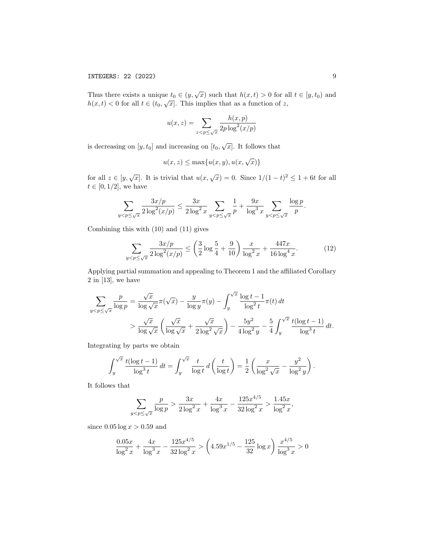Thus there exists a unique  $t_0 \in (y, \sqrt{x})$  such that  $h(x,t) > 0$  for all  $t \in [y, t_0)$  and  $h(x,t) < 0$  for all  $t \in (t_0, \sqrt{x}]$ . This implies that as a function of z,

$$
u(x,z) = \sum_{z < p \le \sqrt{x}} \frac{h(x,p)}{2p \log^2(x/p)}
$$

is decreasing on  $[y, t_0]$  and increasing on  $[t_0, \sqrt{x}]$ . It follows that

$$
u(x, z) \le \max\{u(x, y), u(x, \sqrt{x})\}
$$

for all  $z \in [y, \sqrt{x}]$ . It is trivial that  $u(x, \sqrt{x}) = 0$ . Since  $1/(1-t)^2 \le 1+6t$  for all  $t \in [0, 1/2]$ , we have

$$
\sum_{y < p \le \sqrt{x}} \frac{3x/p}{2\log^2(x/p)} \le \frac{3x}{2\log^2 x} \sum_{y < p \le \sqrt{x}} \frac{1}{p} + \frac{9x}{\log^3 x} \sum_{y < p \le \sqrt{x}} \frac{\log p}{p}.
$$

Combining this with (10) and (11) gives

$$
\sum_{y < p \le \sqrt{x}} \frac{3x/p}{2\log^2(x/p)} \le \left(\frac{3}{2}\log\frac{5}{4} + \frac{9}{10}\right) \frac{x}{\log^2 x} + \frac{447x}{16\log^4 x}.\tag{12}
$$

Applying partial summation and appealing to Theorem 1 and the affiliated Corollary 2 in [13], we have

$$
\sum_{y < p \le \sqrt{x}} \frac{p}{\log p} = \frac{\sqrt{x}}{\log \sqrt{x}} \pi(\sqrt{x}) - \frac{y}{\log y} \pi(y) - \int_{y}^{\sqrt{x}} \frac{\log t - 1}{\log^{2} t} \pi(t) dt
$$
\n
$$
> \frac{\sqrt{x}}{\log \sqrt{x}} \left( \frac{\sqrt{x}}{\log \sqrt{x}} + \frac{\sqrt{x}}{2 \log^{2} \sqrt{x}} \right) - \frac{5y^{2}}{4 \log^{2} y} - \frac{5}{4} \int_{y}^{\sqrt{x}} \frac{t(\log t - 1)}{\log^{3} t} dt.
$$

Integrating by parts we obtain

$$
\int_{y}^{\sqrt{x}} \frac{t(\log t - 1)}{\log^3 t} dt = \int_{y}^{\sqrt{x}} \frac{t}{\log t} dt = \left(\frac{t}{\log t}\right) = \frac{1}{2} \left(\frac{x}{\log^2 \sqrt{x}} - \frac{y^2}{\log^2 y}\right).
$$

It follows that

$$
\sum_{y < p \le \sqrt{x}} \frac{p}{\log p} > \frac{3x}{2 \log^2 x} + \frac{4x}{\log^3 x} - \frac{125x^{4/5}}{32 \log^2 x} > \frac{1.45x}{\log^2 x},
$$

since  $0.05 \log x > 0.59$  and

$$
\frac{0.05x}{\log^2 x} + \frac{4x}{\log^3 x} - \frac{125x^{4/5}}{32\log^2 x} > \left(4.59x^{1/5} - \frac{125}{32}\log x\right) \frac{x^{4/5}}{\log^3 x} > 0
$$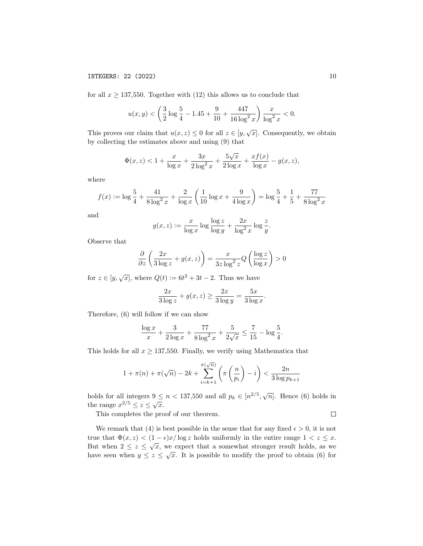for all  $x \ge 137,550$ . Together with (12) this allows us to conclude that

$$
u(x,y) < \left(\frac{3}{2}\log\frac{5}{4} - 1.45 + \frac{9}{10} + \frac{447}{16\log^2 x}\right)\frac{x}{\log^2 x} < 0.
$$

This proves our claim that  $u(x, z) \leq 0$  for all  $z \in [y, \sqrt{x}]$ . Consequently, we obtain by collecting the estimates above and using (9) that

$$
\Phi(x, z) < 1 + \frac{x}{\log x} + \frac{3x}{2\log^2 x} + \frac{5\sqrt{x}}{2\log x} + \frac{xf(x)}{\log x} - g(x, z),
$$

where

$$
f(x) := \log \frac{5}{4} + \frac{41}{8 \log^2 x} + \frac{2}{\log x} \left( \frac{1}{10} \log x + \frac{9}{4 \log x} \right) = \log \frac{5}{4} + \frac{1}{5} + \frac{77}{8 \log^2 x}
$$

and

$$
g(x, z) := \frac{x}{\log x} \log \frac{\log z}{\log y} + \frac{2x}{\log^2 x} \log \frac{z}{y}.
$$

Observe that

$$
\frac{\partial}{\partial z} \left( \frac{2x}{3 \log z} + g(x, z) \right) = \frac{x}{3z \log^2 z} Q \left( \frac{\log z}{\log x} \right) > 0
$$

for  $z \in [y, \sqrt{x}]$ , where  $Q(t) := 6t^2 + 3t - 2$ . Thus we have

$$
\frac{2x}{3\log z} + g(x, z) \ge \frac{2x}{3\log y} = \frac{5x}{3\log x}.
$$

Therefore, (6) will follow if we can show

$$
\frac{\log x}{x} + \frac{3}{2\log x} + \frac{77}{8\log^2 x} + \frac{5}{2\sqrt{x}} \le \frac{7}{15} - \log\frac{5}{4}.
$$

This holds for all  $x \ge 137,550$ . Finally, we verify using Mathematica that

$$
1 + \pi(n) + \pi(\sqrt{n}) - 2k + \sum_{i=k+1}^{\pi(\sqrt{n})} \left( \pi\left(\frac{n}{p_i}\right) - i \right) < \frac{2n}{3 \log p_{k+1}}
$$

holds for all integers  $9 \le n < 137,550$  and all  $p_k \in [n^{2/5}, \sqrt{n}]$ . Hence (6) holds in the range  $x^{2/5} \leq z \leq \sqrt{x}$ .

This completes the proof of our theorem.

 $\Box$ 

We remark that (4) is best possible in the sense that for any fixed  $\epsilon > 0$ , it is not true that  $\Phi(x, z) < (1 - \epsilon)x/\log z$  holds uniformly in the entire range  $1 < z \leq x$ . But when  $2 \leq z \leq \sqrt{x}$ , we expect that a somewhat stronger result holds, as we have seen when  $y \leq z \leq \sqrt{x}$ . It is possible to modify the proof to obtain (6) for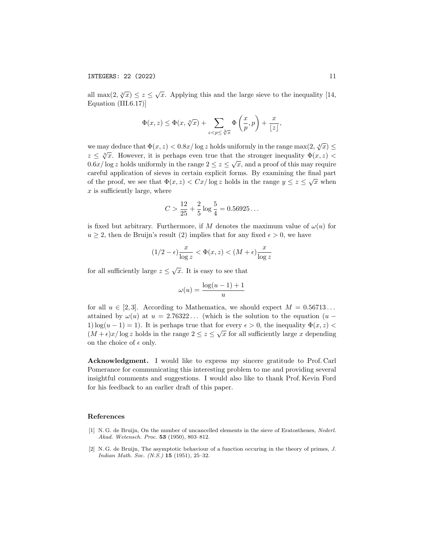all max $(2, \sqrt[3]{x}) \le z \le \sqrt{x}$ . Applying this and the large sieve to the inequality [14, Equation (III.6.17)]

$$
\Phi(x, z) \le \Phi(x, \sqrt[3]{x}) + \sum_{z < p \le \sqrt[3]{x}} \Phi\left(\frac{x}{p}, p\right) + \frac{x}{\lfloor z \rfloor},
$$

we may deduce that  $\Phi(x, z) < 0.8x/\log z$  holds uniformly in the range max $(2, \sqrt[4]{x}) \le$ we may deduce that  $\Psi(x, z) \leq 0.5x/$  log z holds difficulty in the range max(z,  $\nabla x$ )  $\leq$   $\sqrt[3]{x}$ . However, it is perhaps even true that the stronger inequality  $\Phi(x, z)$  $z \leq \sqrt{x}$ . However, it is perhaps even the that the stronger inequality  $\psi(x, z) < 0.6x/\log z$  holds uniformly in the range  $2 \leq z \leq \sqrt{x}$ , and a proof of this may require careful application of sieves in certain explicit forms. By examining the final part of the proof, we see that  $\Phi(x, z) < Cx/\log z$  holds in the range  $y \leq z \leq \sqrt{x}$  when  $x$  is sufficiently large, where

$$
C > \frac{12}{25} + \frac{2}{5} \log \frac{5}{4} = 0.56925\dots
$$

is fixed but arbitrary. Furthermore, if M denotes the maximum value of  $\omega(u)$  for  $u \geq 2$ , then de Bruijn's result (2) implies that for any fixed  $\epsilon > 0$ , we have

$$
(1/2-\epsilon)\frac{x}{\log z}<\Phi(x,z)<(M+\epsilon)\frac{x}{\log z}
$$

for all sufficiently large  $z \leq \sqrt{x}$ . It is easy to see that

$$
\omega(u) = \frac{\log(u-1) + 1}{u}
$$

for all  $u \in [2,3]$ . According to Mathematica, we should expect  $M = 0.56713...$ attained by  $\omega(u)$  at  $u = 2.76322...$  (which is the solution to the equation  $(u -$ 1)  $\log(u-1)=1$ ). It is perhaps true that for every  $\epsilon > 0$ , the inequality  $\Phi(x, z)$  $(M + \epsilon)x/\log z$  holds in the range  $2 \le z \le \sqrt{x}$  for all sufficiently large x depending on the choice of  $\epsilon$  only.

Acknowledgment. I would like to express my sincere gratitude to Prof. Carl Pomerance for communicating this interesting problem to me and providing several insightful comments and suggestions. I would also like to thank Prof. Kevin Ford for his feedback to an earlier draft of this paper.

#### References

- [1] N. G. de Bruijn, On the number of uncancelled elements in the sieve of Eratosthenes, Nederl. Akad. Wetensch. Proc. 53 (1950), 803–812.
- [2] N. G. de Bruijn, The asymptotic behaviour of a function occuring in the theory of primes, J. Indian Math. Soc. (N.S.) 15 (1951), 25–32.